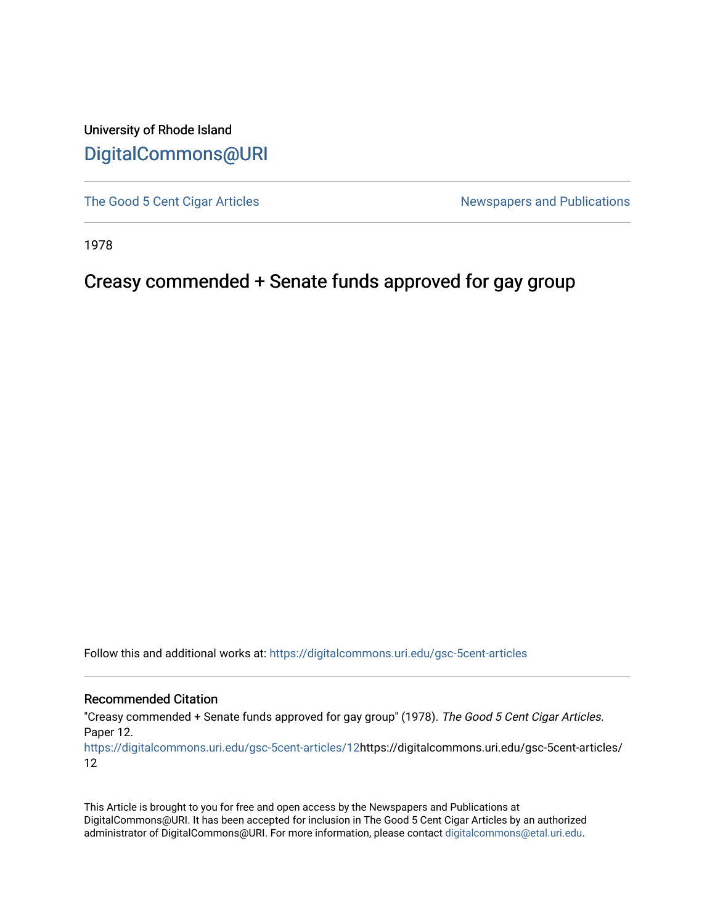University of Rhode Island [DigitalCommons@URI](https://digitalcommons.uri.edu/) 

[The Good 5 Cent Cigar Articles](https://digitalcommons.uri.edu/gsc-5cent-articles) Newspapers and Publications

1978

### Creasy commended + Senate funds approved for gay group

Follow this and additional works at: [https://digitalcommons.uri.edu/gsc-5cent-articles](https://digitalcommons.uri.edu/gsc-5cent-articles?utm_source=digitalcommons.uri.edu%2Fgsc-5cent-articles%2F12&utm_medium=PDF&utm_campaign=PDFCoverPages) 

#### Recommended Citation

"Creasy commended + Senate funds approved for gay group" (1978). The Good 5 Cent Cigar Articles. Paper 12.

[https://digitalcommons.uri.edu/gsc-5cent-articles/12](https://digitalcommons.uri.edu/gsc-5cent-articles/12?utm_source=digitalcommons.uri.edu%2Fgsc-5cent-articles%2F12&utm_medium=PDF&utm_campaign=PDFCoverPages)https://digitalcommons.uri.edu/gsc-5cent-articles/ 12

This Article is brought to you for free and open access by the Newspapers and Publications at DigitalCommons@URI. It has been accepted for inclusion in The Good 5 Cent Cigar Articles by an authorized administrator of DigitalCommons@URI. For more information, please contact [digitalcommons@etal.uri.edu.](mailto:digitalcommons@etal.uri.edu)